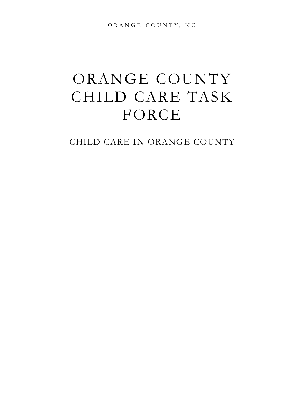O RA NGE COUNTY, NC

# ORANGE COUNTY CHILD CARE TASK FORCE

### CHILD CARE IN ORANGE COUNTY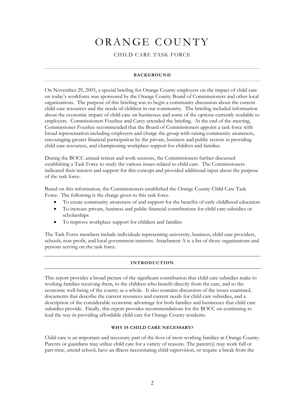## ORANGE COUNTY

#### CHILD CARE TASK FORCE

#### **BACKGROUND**

On November 29, 2005, a special briefing for Orange County employers on the impact of child care on today's workforce was sponsored by the Orange County Board of Commissioners and other local organizations. The purpose of this briefing was to begin a community discussion about the current child care resources and the needs of children in our community. The briefing included information about the economic impact of child care on businesses and some of the options currently available to employers. Commissioners Foushee and Carey attended the briefing. At the end of the meeting, Commissioner Foushee recommended that the Board of Commissioners appoint a task force with broad representation including employers and charge the group with raising community awareness, encouraging greater financial participation by the private, business and public sectors in providing child care resources, and championing workplace support for children and families.

During the BOCC annual retreat and work sessions, the Commissioners further discussed establishing a Task Force to study the various issues related to child care. The Commissioners indicated their interest and support for this concept and provided additional input about the purpose of the task force.

Based on this information, the Commissioners established the Orange County Child Care Task Force. The following is the charge given to this task force.

- To create community awareness of and support for the benefits of early childhood education
- To increase private, business and public financial contributions for child care subsidies or scholarships
- To improve workplace support for children and families

The Task Force members include individuals representing university, business, child care providers, schools, non-profit, and local government interests. Attachment A is a list of those organizations and persons serving on the task force.

#### **INTRODUCTION**

This report provides a broad picture of the significant contribution that child care subsidies make to working families receiving them, to the children who benefit directly from the care, and to the economic well-being of the county as a whole. It also contains discussion of the issues examined, documents that describe the current resources and current needs for child care subsidies, and a description of the considerable economic advantage for both families and businesses that child care subsidies provide. Finally, this report provides recommendations for the BOCC on continuing to lead the way in providing affordable child care for Orange County residents.

#### **WHY IS CHILD CARE NECESSARY?**

Child care is an important and necessary part of the lives of most working families in Orange County. Parents or guardians may utilize child care for a variety of reasons. The parent(s) may work full or part-time, attend school, have an illness necessitating child supervision, or require a break from the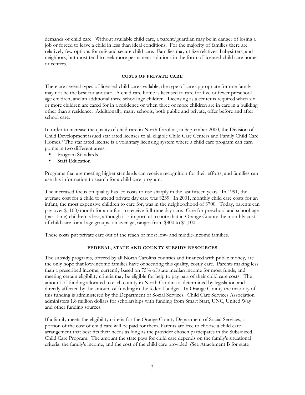demands of child care. Without available child care, a parent/guardian may be in danger of losing a job or forced to leave a child in less than ideal conditions. For the majority of families there are relatively few options for safe and secure child care. Families may utilize relatives, babysitters, and neighbors, but most tend to seek more permanent solutions in the form of licensed child care homes or centers.

#### **COSTS OF PRIVATE CARE**

There are several types of licensed child care available; the type of care appropriate for one family may not be the best for another. A child care home is licensed to care for five or fewer preschool age children, and an additional three school age children. Licensing as a center is required when six or more children are cared for in a residence or when three or more children are in care in a building other than a residence. Additionally, many schools, both public and private, offer before and after school care.

In order to increase the quality of child care in North Carolina, in September 2000, the Division of Child Development issued star rated licenses to all eligible Child Care Centers and Family Child Care Homes.1 The star rated license is a voluntary licensing system where a child care program can earn points in two different areas:

- Program Standards
- Staff Education

Programs that are meeting higher standards can receive recognition for their efforts, and families can use this information to search for a child care program.

The increased focus on quality has led costs to rise sharply in the last fifteen years. In 1991, the average cost for a child to attend private day care was \$239. In 2001, monthly child care costs for an infant, the most expensive children to care for, was in the neighborhood of \$700. Today, parents can pay over \$1100/month for an infant to receive full-time day care. Care for preschool and school-age (part-time) children is less, although it is important to note that in Orange County the monthly cost of child care for all age groups, on average, ranges from \$800 to \$1,100.

These costs put private care out of the reach of most low- and middle-income families.

#### **FEDERAL, STATE AND COUNTY SUBSIDY RESOURCES**

The subsidy programs, offered by all North Carolina counties and financed with public money, are the only hope that low-income families have of securing this quality, costly care. Parents making less than a prescribed income, currently based on 75% of state median income for most funds, and meeting certain eligibility criteria may be eligible for help to pay part of their child care costs. The amount of funding allocated to each county in North Carolina is determined by legislation and is directly affected by the amount of funding in the federal budget. In Orange County the majority of this funding is administered by the Department of Social Services. Child Care Services Association administers 1.8 million dollars for scholarships with funding from Smart Start, UNC, United Way and other funding sources.

If a family meets the eligibility criteria for the Orange County Department of Social Services, a portion of the cost of child care will be paid for them. Parents are free to choose a child care arrangement that best fits their needs as long as the provider chosen participates in the Subsidized Child Care Program. The amount the state pays for child care depends on the family's situational criteria, the family's income, and the cost of the child care provided. (See Attachment B for state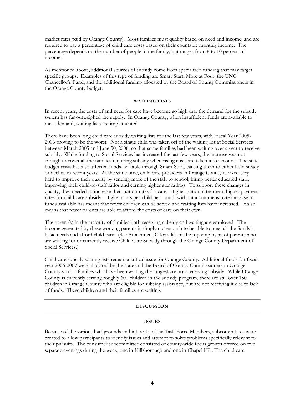market rates paid by Orange County). Most families must qualify based on need and income, and are required to pay a percentage of child care costs based on their countable monthly income. The percentage depends on the number of people in the family, but ranges from 8 to 10 percent of income.

As mentioned above, additional sources of subsidy come from specialized funding that may target specific groups. Examples of this type of funding are Smart Start, More at Four, the UNC Chancellor's Fund, and the additional funding allocated by the Board of County Commissioners in the Orange County budget.

#### **WAITING LISTS**

In recent years, the costs of and need for care have become so high that the demand for the subsidy system has far outweighed the supply. In Orange County, when insufficient funds are available to meet demand, waiting lists are implemented.

There have been long child care subsidy waiting lists for the last few years, with Fiscal Year 2005- 2006 proving to be the worst. Not a single child was taken off of the waiting list at Social Services between March 2005 and June 30, 2006, so that some families had been waiting over a year to receive subsidy. While funding to Social Services has increased the last few years, the increase was not enough to cover all the families requiring subsidy when rising costs are taken into account. The state budget crisis has also affected funds available through Smart Start, causing them to either hold steady or decline in recent years. At the same time, child care providers in Orange County worked very hard to improve their quality by sending more of the staff to school, hiring better educated staff, improving their child-to-staff ratios and earning higher star ratings. To support these changes in quality, they needed to increase their tuition rates for care. Higher tuition rates mean higher payment rates for child care subsidy. Higher costs per child per month without a commensurate increase in funds available has meant that fewer children can be served and waiting lists have increased. It also means that fewer parents are able to afford the costs of care on their own.

The parent(s) in the majority of families both receiving subsidy and waiting are employed. The income generated by these working parents is simply not enough to be able to meet all the family's basic needs and afford child care. (See Attachment C for a list of the top employers of parents who are waiting for or currently receive Child Care Subsidy through the Orange County Department of Social Services.)

Child care subsidy waiting lists remain a critical issue for Orange County. Additional funds for fiscal year 2006-2007 were allocated by the state and the Board of County Commissioners in Orange County so that families who have been waiting the longest are now receiving subsidy. While Orange County is currently serving roughly 600 children in the subsidy program, there are still over 150 children in Orange County who are eligible for subsidy assistance, but are not receiving it due to lack of funds. These children and their families are waiting.

#### **DISCUSSION**

#### **ISSUES**

Because of the various backgrounds and interests of the Task Force Members, subcommittees were created to allow participants to identify issues and attempt to solve problems specifically relevant to their pursuits. The consumer subcommittee consisted of county-wide focus groups offered on two separate evenings during the week, one in Hillsborough and one in Chapel Hill. The child care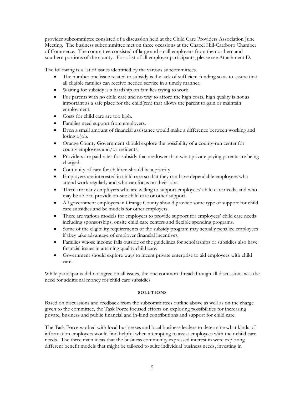provider subcommittee consisted of a discussion held at the Child Care Providers Association June Meeting. The business subcommittee met on three occasions at the Chapel Hill-Carrboro Chamber of Commerce. The committee consisted of large and small employers from the northern and southern portions of the county. For a list of all employer participants, please see Attachment D.

The following is a list of issues identified by the various subcommittees.

- The number one issue related to subsidy is the lack of sufficient funding so as to assure that all eligible families can receive needed service in a timely manner.
- Waiting for subsidy is a hardship on families trying to work.
- For parents with no child care and no way to afford the high costs, high quality is not as important as a safe place for the child(ren) that allows the parent to gain or maintain employment.
- Costs for child care are too high.
- Families need support from employers.
- Even a small amount of financial assistance would make a difference between working and losing a job.
- Orange County Government should explore the possibility of a county-run center for county employees and/or residents.
- Providers are paid rates for subsidy that are lower than what private paying parents are being charged.
- Continuity of care for children should be a priority.
- Employers are interested in child care so that they can have dependable employees who attend work regularly and who can focus on their jobs.
- There are many employers who are willing to support employees' child care needs, and who may be able to provide on-site child care or other support.
- All government employers in Orange County should provide some type of support for child care subsidies and be models for other employers.
- There are various models for employers to provide support for employees' child care needs including sponsorships, onsite child care centers and flexible spending programs.
- Some of the eligibility requirements of the subsidy program may actually penalize employees if they take advantage of employer financial incentives.
- Families whose income falls outside of the guidelines for scholarships or subsidies also have financial issues in attaining quality child care.
- Government should explore ways to incent private enterprise to aid employees with child care.

While participants did not agree on all issues, the one common thread through all discussions was the need for additional money for child care subsidies.

#### **SOLUTIONS**

Based on discussions and feedback from the subcommittees outline above as well as on the charge given to the committee, the Task Force focused efforts on exploring possibilities for increasing private, business and public financial and in-kind contributions and support for child care.

The Task Force worked with local businesses and local business leaders to determine what kinds of information employers would find helpful when attempting to assist employees with their child care needs. The three main ideas that the business community expressed interest in were exploring different benefit models that might be tailored to suite individual business needs, investing in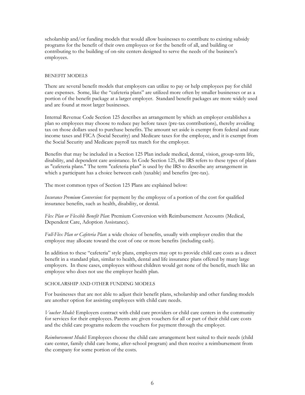scholarship and/or funding models that would allow businesses to contribute to existing subsidy programs for the benefit of their own employees or for the benefit of all, and building or contributing to the building of on-site centers designed to serve the needs of the business's employees.

#### BENEFIT MODELS

There are several benefit models that employers can utilize to pay or help employees pay for child care expenses. Some, like the "cafeteria plans" are utilized more often by smaller businesses or as a portion of the benefit package at a larger employer. Standard benefit packages are more widely used and are found at most larger businesses.

Internal Revenue Code Section 125 describes an arrangement by which an employer establishes a plan so employees may choose to reduce pay before taxes (pre-tax contributions), thereby avoiding tax on those dollars used to purchase benefits. The amount set aside is exempt from federal and state income taxes and FICA (Social Security) and Medicare taxes for the employee, and it is exempt from the Social Security and Medicare payroll tax match for the employer.

Benefits that may be included in a Section 125 Plan include medical, dental, vision, group-term life, disability, and dependent care assistance. In Code Section 125, the IRS refers to these types of plans as "cafeteria plans." The term "cafeteria plan" is used by the IRS to describe any arrangement in which a participant has a choice between cash (taxable) and benefits (pre-tax).

The most common types of Section 125 Plans are explained below:

*Insurance Premium Conversion:* for payment by the employee of a portion of the cost for qualified insurance benefits, such as health, disability, or dental.

*Flex Plan or Flexible Benefit Plan*: Premium Conversion with Reimbursement Accounts (Medical, Dependent Care, Adoption Assistance).

*Full-Flex Plan or Cafeteria Plan*: a wide choice of benefits, usually with employer credits that the employee may allocate toward the cost of one or more benefits (including cash).

In addition to these "cafeteria" style plans, employers may opt to provide child care costs as a direct benefit in a standard plan, similar to health, dental and life insurance plans offered by many large employers. In these cases, employees without children would get none of the benefit, much like an employee who does not use the employer health plan.

#### SCHOLARSHIP AND OTHER FUNDING MODELS

For businesses that are not able to adjust their benefit plans, scholarship and other funding models are another option for assisting employees with child care needs.

*Voucher Model:* Employers contract with child care providers or child care centers in the community for services for their employees. Parents are given vouchers for all or part of their child care costs and the child care programs redeem the vouchers for payment through the employer.

*Reimbursement Model:* Employees choose the child care arrangement best suited to their needs (child care center, family child care home, after-school program) and then receive a reimbursement from the company for some portion of the costs.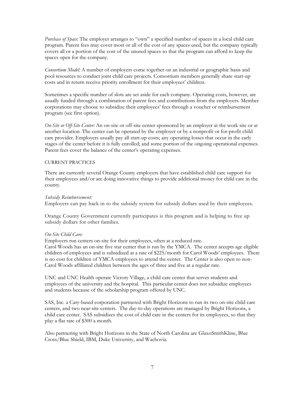*Purchase of Space:* The employer arranges to "own" a specified number of spaces in a local child care program. Parent fees may cover most or all of the cost of any spaces used, but the company typically covers all or a portion of the cost of the unused spaces so that the program can afford to keep the spaces open for the company.

*Consortium Model:* A number of employers come together on an industrial or geographic basis and pool resources to conduct joint child care projects. Consortium members generally share start-up costs and in return receive priority enrollment for their employees' children.

Sometimes a specific number of slots are set aside for each company. Operating costs, however, are usually funded through a combination of parent fees and contributions from the employers. Member corporations may choose to subsidize their employees' fees through a voucher or reimbursement program (see first option).

*On-Site or Off-Site Center:* An on-site or off-site center sponsored by an employer at the work site or at another location. The center can be operated by the employer or by a nonprofit or for-profit child care provider. Employers usually pay all start-up costs; any operating losses that occur in the early stages of the center before it is fully enrolled; and some portion of the ongoing operational expenses. Parent fees cover the balance of the center's operating expenses.

#### CURRENT PRACTICES

There are currently several Orange County employers that have established child care support for their employees and/or are doing innovative things to provide additional money for child care in the county.

#### *Subsidy Reimbursement:*

Employers can pay back in to the subsidy system for subsidy dollars used by their employees.

Orange County Government currently participates is this program and is helping to free up subsidy dollars for other families.

#### *On-Site Child Care:*

Employers run centers on-site for their employees, often at a reduced rate.

Carol Woods has an on-site five star center that is run by the YMCA. The center accepts age eligible children of employees and is subsidized at a rate of \$225/month for Carol Woods' employees. There is no cost for children of YMCA employees to attend the center. The Center is also open to non-Carol Woods affiliated children between the ages of three and five at a regular rate.

UNC and UNC Health operate Victory Village, a child care center that serves students and employees of the university and the hospital. This particular center does not subsidize employees and students because of the scholarship program offered by UNC.

SAS, Inc. a Cary-based corporation partnered with Bright Horizons to run its two on-site child care centers, and two near-site centers. The day-to-day operations are managed by Bright Horizons, a child care center. SAS subsidizes the cost of child care in the centers for its employees, so that they play a flat rate of \$300 a month.

Also partnering with Bright Horizons in the State of North Carolina are GlaxoSmithKline, Blue Cross/Blue Shield, IBM, Duke University, and Wachovia.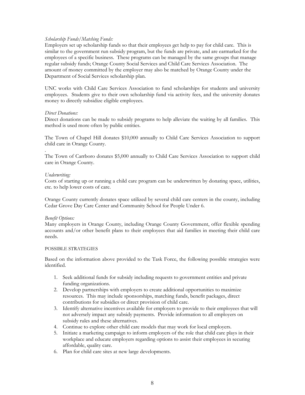#### *Scholarship Funds/Matching Funds:*

Employers set up scholarship funds so that their employees get help to pay for child care. This is similar to the government run subsidy program, but the funds are private, and are earmarked for the employees of a specific business. These programs can be managed by the same groups that manage regular subsidy funds; Orange County Social Services and Child Care Services Association. The amount of money committed by the employer may also be matched by Orange County under the Department of Social Services scholarship plan.

UNC works with Child Care Services Association to fund scholarships for students and university employees. Students give to their own scholarship fund via activity fees, and the university donates money to directly subsidize eligible employees.

#### *Direct Donations:*

Direct donations can be made to subsidy programs to help alleviate the waiting by all families. This method is used more often by public entities.

The Town of Chapel Hill donates \$10,000 annually to Child Care Services Association to support child care in Orange County.

The Town of Carrboro donates \$5,000 annually to Child Care Services Association to support child care in Orange County.

#### *Underwriting:*

.

Costs of starting up or running a child care program can be underwritten by donating space, utilities, etc. to help lower costs of care.

Orange County currently donates space utilized by several child care centers in the county, including Cedar Grove Day Care Center and Community School for People Under 6.

#### *Benefit Options:*

Many employers in Orange County, including Orange County Government, offer flexible spending accounts and/or other benefit plans to their employees that aid families in meeting their child care needs.

#### POSSIBLE STRATEGIES

Based on the information above provided to the Task Force, the following possible strategies were identified.

- 1. Seek additional funds for subsidy including requests to government entities and private funding organizations.
- 2. Develop partnerships with employers to create additional opportunities to maximize resources. This may include sponsorships, matching funds, benefit packages, direct contributions for subsidies or direct provision of child care.
- 3. Identify alternative incentives available for employers to provide to their employees that will not adversely impact any subsidy payments. Provide information to all employers on subsidy rules and these alternatives.
- 4. Continue to explore other child care models that may work for local employers.
- 5. Initiate a marketing campaign to inform employers of the role that child care plays in their workplace and educate employers regarding options to assist their employees in securing affordable, quality care.
- 6. Plan for child care sites at new large developments.